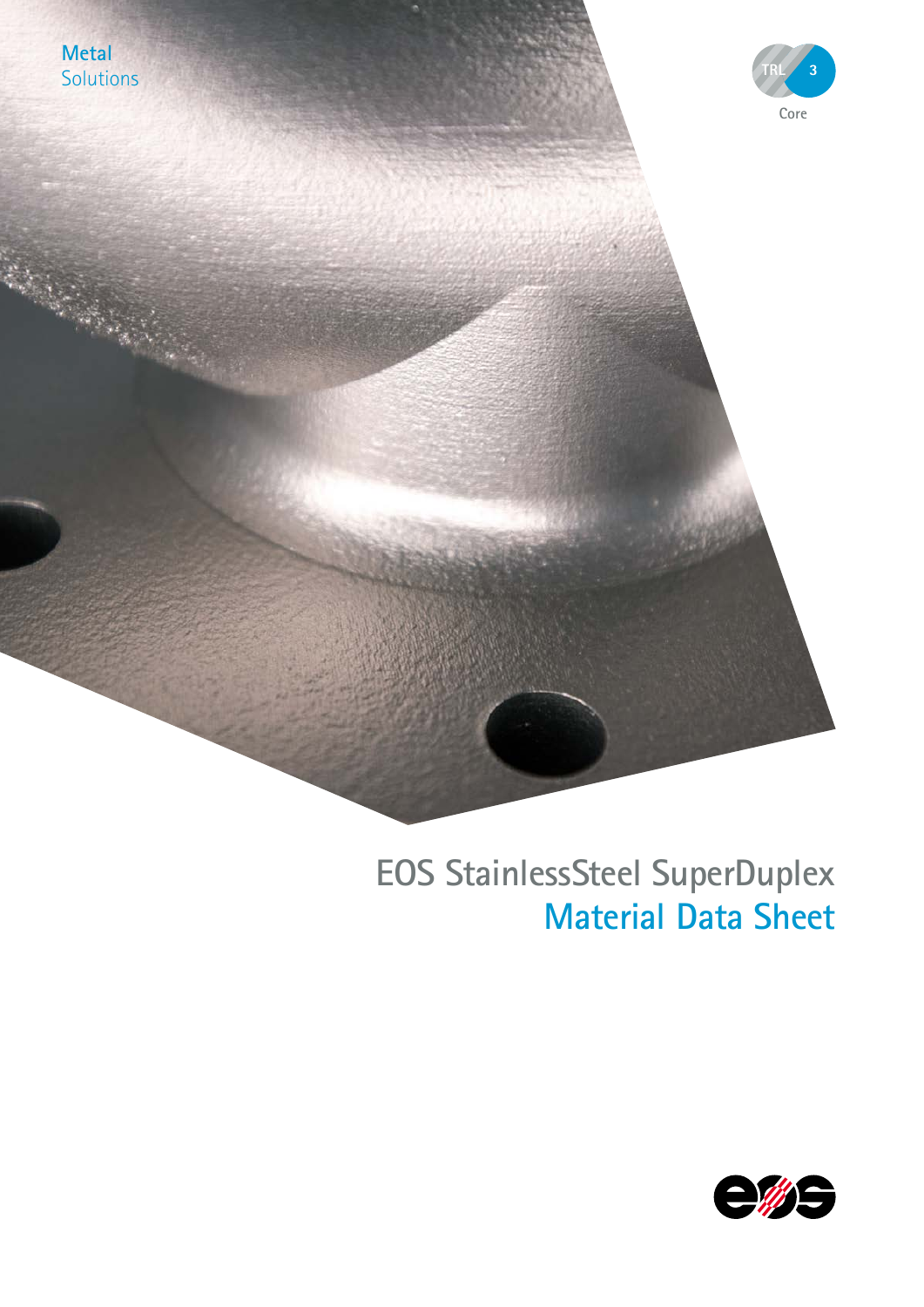

# **EOS StainlessSteel SuperDuplex Material Data Sheet**

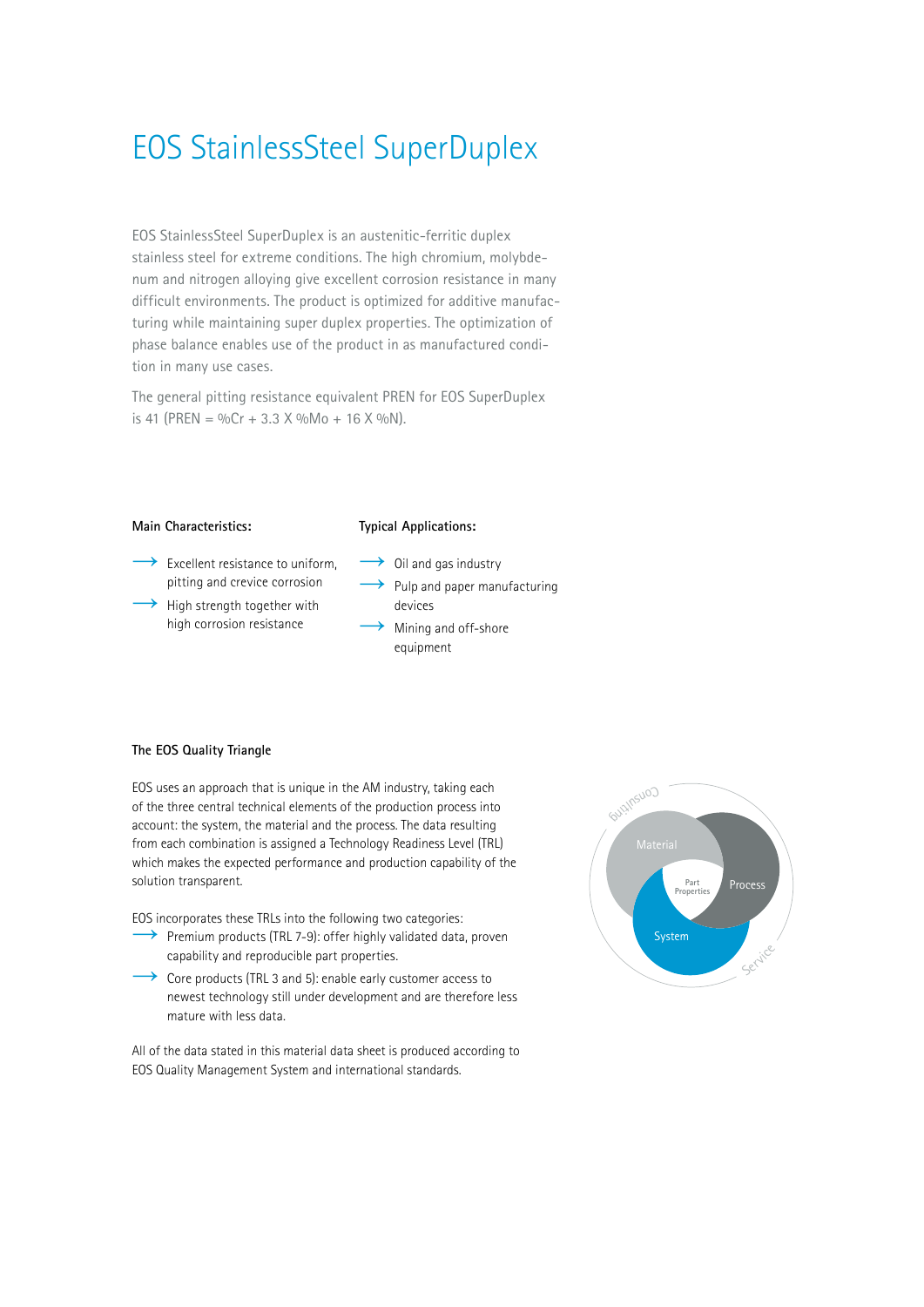# EOS StainlessSteel SuperDuplex

EOS StainlessSteel SuperDuplex is an austenitic-ferritic duplex stainless steel for extreme conditions. The high chromium, molybdenum and nitrogen alloying give excellent corrosion resistance in many difficult environments. The product is optimized for additive manufacturing while maintaining super duplex properties. The optimization of phase balance enables use of the product in as manufactured condition in many use cases.

The general pitting resistance equivalent PREN for EOS SuperDuplex is 41 (PREN =  $\%$ Cr + 3.3 X  $\%$ Mo + 16 X  $\%$ N).

## **Main Characteristics:** Excellent resistance to uniform, pitting and crevice corrosion  $\rightarrow$  High strength together with high corrosion resistance

#### **Typical Applications:**

- $\rightarrow$  Oil and gas industry  $\rightarrow$  Pulp and paper manufacturing devices
- Mining and off-shore equipment

#### **The EOS Quality Triangle**

EOS uses an approach that is unique in the AM industry, taking each of the three central technical elements of the production process into account: the system, the material and the process. The data resulting from each combination is assigned a Technology Readiness Level (TRL) which makes the expected performance and production capability of the solution transparent.

EOS incorporates these TRLs into the following two categories:

- $\rightarrow$  Premium products (TRL 7-9): offer highly validated data, proven capability and reproducible part properties.
- $\rightarrow$  Core products (TRL 3 and 5): enable early customer access to newest technology still under development and are therefore less mature with less data.

All of the data stated in this material data sheet is produced according to EOS Quality Management System and international standards.

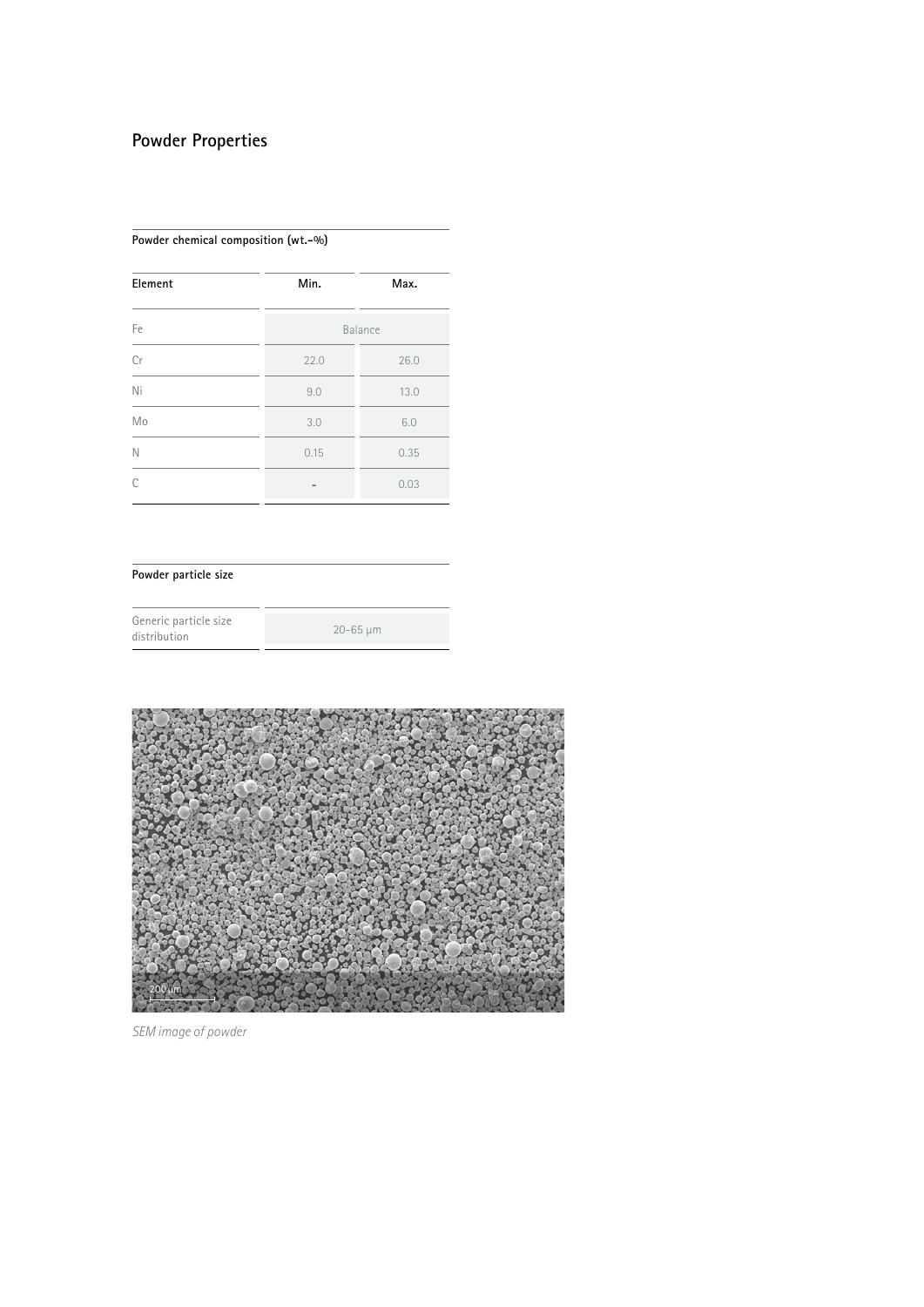## **Powder Properties**

#### **Powder chemical composition (wt.-%)**

| Element | Min.<br>Max. |      |  |  |
|---------|--------------|------|--|--|
| Fe      | Balance      |      |  |  |
| Cr      | 26.0<br>22.0 |      |  |  |
| Ni      | 9.0          | 13.0 |  |  |
| Mo      | 3.0<br>6.0   |      |  |  |
| N       | 0.15         | 0.35 |  |  |
| C       | 0.03         |      |  |  |

### **Powder particle size**

| Generic particle size |              |
|-----------------------|--------------|
| distribution          | $20 - 65$ um |



*SEM image of powder*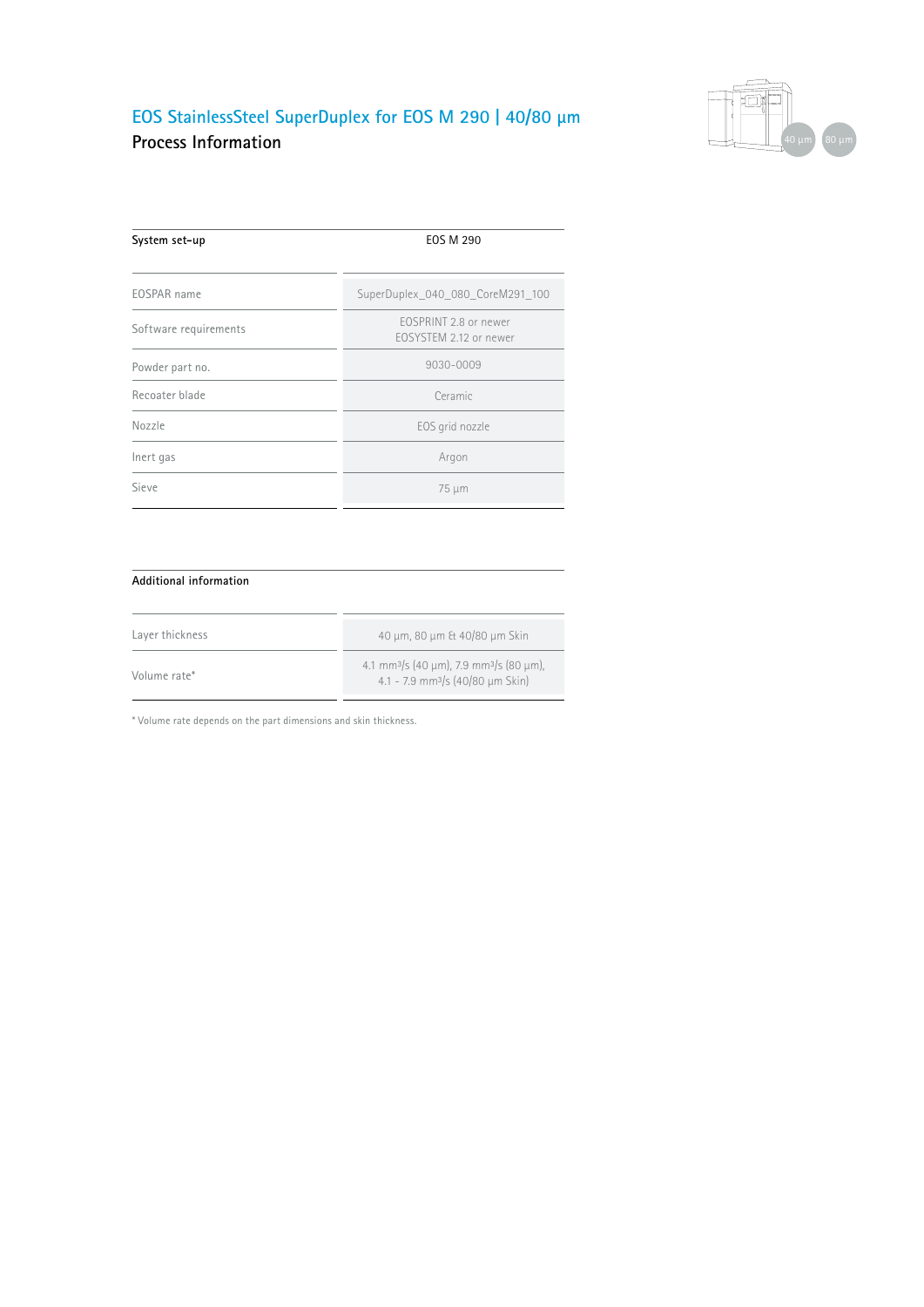## **EOS StainlessSteel SuperDuplex for EOS M 290 | 40/80 µm Process Information**



| <b>EOS M 290</b>                                |  |  |
|-------------------------------------------------|--|--|
|                                                 |  |  |
| SuperDuplex_040_080_CoreM291_100                |  |  |
| FOSPRINT 2.8 or newer<br>FOSYSTEM 2.12 or newer |  |  |
| 9030-0009                                       |  |  |
| Ceramic                                         |  |  |
| EOS grid nozzle                                 |  |  |
| Argon                                           |  |  |
| 75 µm                                           |  |  |
|                                                 |  |  |

#### **Additional information**

| Layer thickness | 40 μm, 80 μm & 40/80 μm Skin                                                                                   |
|-----------------|----------------------------------------------------------------------------------------------------------------|
| Volume rate*    | $4.1 \text{ mm}^3$ /s (40 µm), 7.9 mm <sup>3</sup> /s (80 µm),<br>4.1 - 7.9 mm <sup>3</sup> /s (40/80 um Skin) |

\* Volume rate depends on the part dimensions and skin thickness.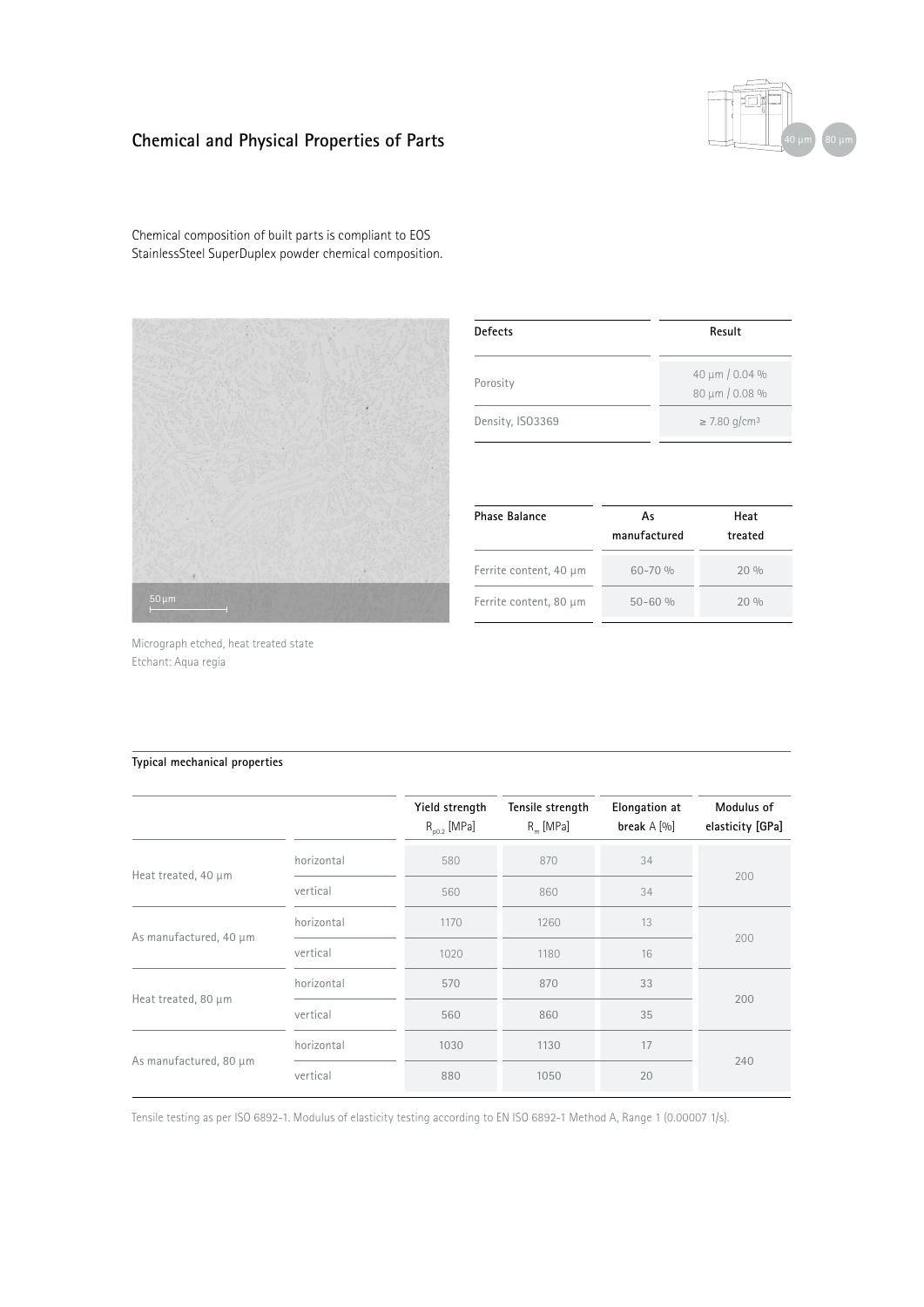## **Chemical and Physical Properties of Parts**



Chemical composition of built parts is compliant to EOS StainlessSteel SuperDuplex powder chemical composition.



| <b>Defects</b>   | Result                           |  |  |
|------------------|----------------------------------|--|--|
| Porosity         | 40 µm / 0.04 %<br>80 µm / 0.08 % |  |  |
| Density, ISO3369 | $\geq$ 7.80 g/cm <sup>3</sup>    |  |  |

| <b>Phase Balance</b>   | As<br>manufactured | Heat<br>treated |  |
|------------------------|--------------------|-----------------|--|
| Ferrite content, 40 µm | $60 - 70 %$        | 20%             |  |
| Ferrite content, 80 µm | $50 - 60 %$        | 20%             |  |

Micrograph etched, heat treated state Etchant: Aqua regia

#### **Typical mechanical properties**

|                        |            | Yield strength<br>$R_{00.2}$ [MPa] | Tensile strength<br>$R_m$ [MPa] | <b>Elongation at</b><br>break $A$ [%] | Modulus of<br>elasticity [GPa] |  |
|------------------------|------------|------------------------------------|---------------------------------|---------------------------------------|--------------------------------|--|
| Heat treated, 40 µm    | horizontal | 580                                | 870                             | 34                                    | 200                            |  |
|                        | vertical   | 560                                | 860                             | 34                                    |                                |  |
| As manufactured, 40 µm | horizontal | 1170                               | 1260                            | 13                                    | 200                            |  |
|                        | vertical   | 1020                               | 1180                            | 16                                    |                                |  |
| Heat treated, 80 µm    | horizontal | 570                                | 870                             | 33                                    | 200                            |  |
|                        | vertical   | 560                                | 860                             | 35                                    |                                |  |
| As manufactured, 80 µm | horizontal | 1030                               | 1130                            | 17                                    |                                |  |
|                        | vertical   | 880                                | 1050                            | 20                                    | 240                            |  |

Tensile testing as per ISO 6892-1. Modulus of elasticity testing according to EN ISO 6892-1 Method A, Range 1 (0.00007 1/s).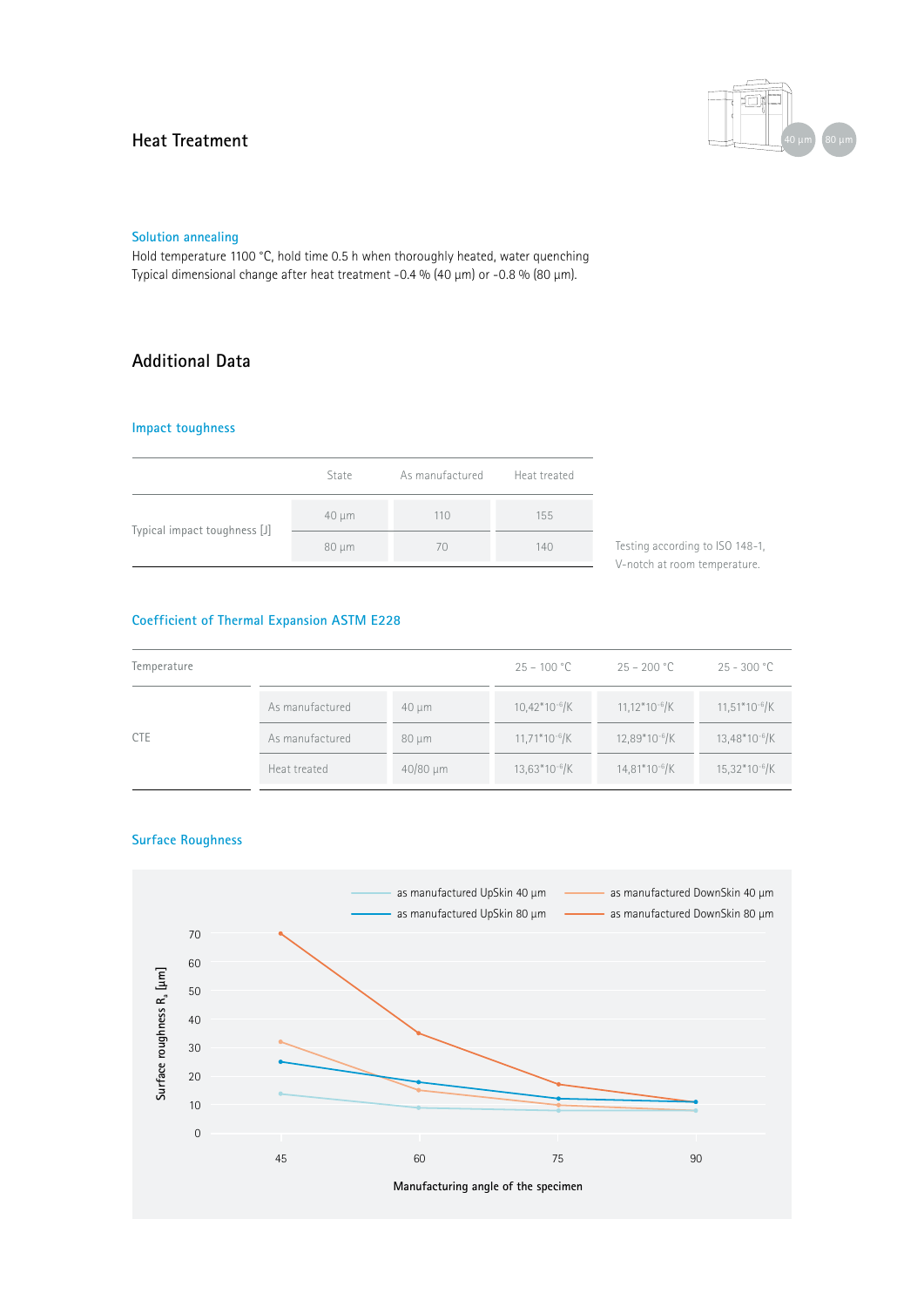### **Heat Treatment**



#### **Solution annealing**

Hold temperature 1100 °C, hold time 0.5 h when thoroughly heated, water quenching Typical dimensional change after heat treatment -0.4 % (40 µm) or -0.8 % (80 µm).

## **Additional Data**

#### **Impact toughness**

|                              | State      | As manufactured Heat treated |     |
|------------------------------|------------|------------------------------|-----|
| Typical impact toughness [J] | $40 \mu m$ | 110                          | 155 |
|                              | $80 \mu m$ | 70                           | 140 |

Testing according to ISO 148-1, V-notch at room temperature.

#### **Coefficient of Thermal Expansion ASTM E228**

| Temperature |                 |               | $25 - 100 °C$             | $25 - 200 °C$             | $25 - 300 °C$             |
|-------------|-----------------|---------------|---------------------------|---------------------------|---------------------------|
| <b>CTE</b>  | As manufactured | $40 \mu m$    | $10,42*10^{-6}$ /K        | $11,12*10^{-6}$ /K        | $11,51*10^{-6}$ /K        |
|             | As manufactured | $80 \mu m$    | $11,71*10^{-6}$ /K        | 12.89*10 <sup>-6</sup> /K | 13,48*10 <sup>-6</sup> /K |
|             | Heat treated    | $40/80 \mu m$ | 13,63*10 <sup>-6</sup> /K | 14,81*10 <sup>-6</sup> /K | 15,32*10 <sup>-6</sup> /K |

#### **Surface Roughness**